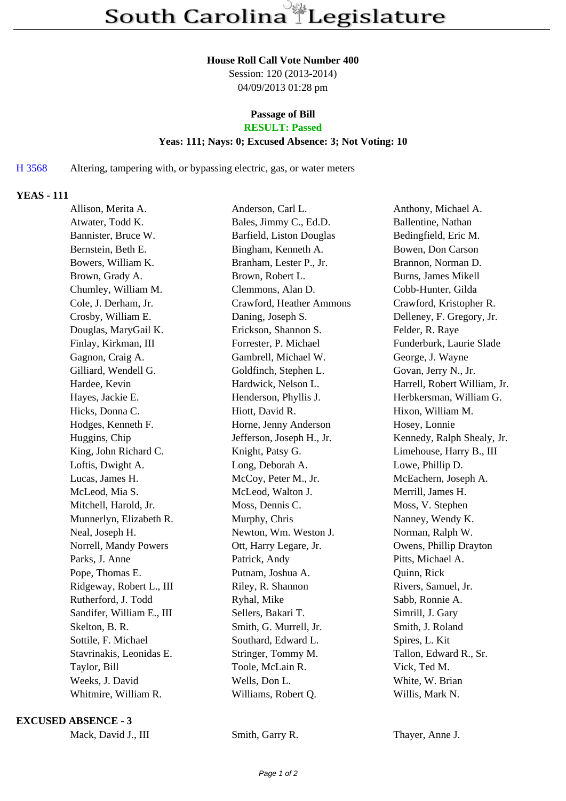#### **House Roll Call Vote Number 400**

Session: 120 (2013-2014) 04/09/2013 01:28 pm

# **Passage of Bill**

# **RESULT: Passed**

### **Yeas: 111; Nays: 0; Excused Absence: 3; Not Voting: 10**

H 3568 Altering, tampering with, or bypassing electric, gas, or water meters

## **YEAS - 111**

| Allison, Merita A.        | Anderson, Carl L.         | Anthony, Michael A.          |
|---------------------------|---------------------------|------------------------------|
| Atwater, Todd K.          | Bales, Jimmy C., Ed.D.    | Ballentine, Nathan           |
| Bannister, Bruce W.       | Barfield, Liston Douglas  | Bedingfield, Eric M.         |
| Bernstein, Beth E.        | Bingham, Kenneth A.       | Bowen, Don Carson            |
| Bowers, William K.        | Branham, Lester P., Jr.   | Brannon, Norman D.           |
| Brown, Grady A.           | Brown, Robert L.          | Burns, James Mikell          |
| Chumley, William M.       | Clemmons, Alan D.         | Cobb-Hunter, Gilda           |
| Cole, J. Derham, Jr.      | Crawford, Heather Ammons  | Crawford, Kristopher R.      |
| Crosby, William E.        | Daning, Joseph S.         | Delleney, F. Gregory, Jr.    |
| Douglas, MaryGail K.      | Erickson, Shannon S.      | Felder, R. Raye              |
| Finlay, Kirkman, III      | Forrester, P. Michael     | Funderburk, Laurie Slade     |
| Gagnon, Craig A.          | Gambrell, Michael W.      | George, J. Wayne             |
| Gilliard, Wendell G.      | Goldfinch, Stephen L.     | Govan, Jerry N., Jr.         |
| Hardee, Kevin             | Hardwick, Nelson L.       | Harrell, Robert William, Jr. |
| Hayes, Jackie E.          | Henderson, Phyllis J.     | Herbkersman, William G.      |
| Hicks, Donna C.           | Hiott, David R.           | Hixon, William M.            |
| Hodges, Kenneth F.        | Horne, Jenny Anderson     | Hosey, Lonnie                |
| Huggins, Chip             | Jefferson, Joseph H., Jr. | Kennedy, Ralph Shealy, Jr.   |
| King, John Richard C.     | Knight, Patsy G.          | Limehouse, Harry B., III     |
| Loftis, Dwight A.         | Long, Deborah A.          | Lowe, Phillip D.             |
| Lucas, James H.           | McCoy, Peter M., Jr.      | McEachern, Joseph A.         |
| McLeod, Mia S.            | McLeod, Walton J.         | Merrill, James H.            |
| Mitchell, Harold, Jr.     | Moss, Dennis C.           | Moss, V. Stephen             |
| Munnerlyn, Elizabeth R.   | Murphy, Chris             | Nanney, Wendy K.             |
| Neal, Joseph H.           | Newton, Wm. Weston J.     | Norman, Ralph W.             |
| Norrell, Mandy Powers     | Ott, Harry Legare, Jr.    | Owens, Phillip Drayton       |
| Parks, J. Anne            | Patrick, Andy             | Pitts, Michael A.            |
| Pope, Thomas E.           | Putnam, Joshua A.         | Quinn, Rick                  |
| Ridgeway, Robert L., III  | Riley, R. Shannon         | Rivers, Samuel, Jr.          |
| Rutherford, J. Todd       | Ryhal, Mike               | Sabb, Ronnie A.              |
| Sandifer, William E., III | Sellers, Bakari T.        | Simrill, J. Gary             |
| Skelton, B. R.            | Smith, G. Murrell, Jr.    | Smith, J. Roland             |
| Sottile, F. Michael       | Southard, Edward L.       | Spires, L. Kit               |
| Stavrinakis, Leonidas E.  | Stringer, Tommy M.        | Tallon, Edward R., Sr.       |
| Taylor, Bill              | Toole, McLain R.          | Vick, Ted M.                 |
| Weeks, J. David           | Wells, Don L.             | White, W. Brian              |
| Whitmire, William R.      | Williams, Robert Q.       | Willis, Mark N.              |
|                           |                           |                              |

#### **EXCUSED ABSENCE - 3**

Mack, David J., III Smith, Garry R. Thayer, Anne J.